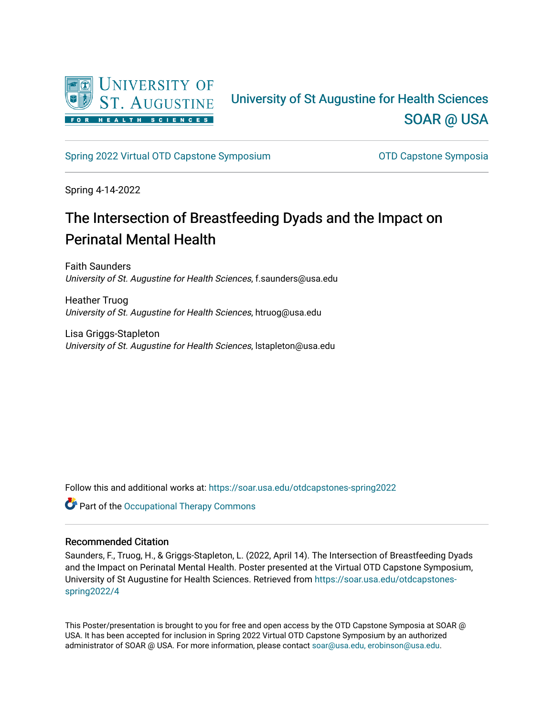

#### University of St Augustine for Health Sciences [SOAR @ USA](https://soar.usa.edu/)

[Spring 2022 Virtual OTD Capstone Symposium](https://soar.usa.edu/otdcapstones-spring2022) **Capstone Symposia** OTD Capstone Symposia

Spring 4-14-2022

#### The Intersection of Breastfeeding Dyads and the Impact on Perinatal Mental Health

Faith Saunders University of St. Augustine for Health Sciences, f.saunders@usa.edu

Heather Truog University of St. Augustine for Health Sciences, htruog@usa.edu

Lisa Griggs-Stapleton University of St. Augustine for Health Sciences, lstapleton@usa.edu

Follow this and additional works at: [https://soar.usa.edu/otdcapstones-spring2022](https://soar.usa.edu/otdcapstones-spring2022?utm_source=soar.usa.edu%2Fotdcapstones-spring2022%2F4&utm_medium=PDF&utm_campaign=PDFCoverPages)

Part of the [Occupational Therapy Commons](http://network.bepress.com/hgg/discipline/752?utm_source=soar.usa.edu%2Fotdcapstones-spring2022%2F4&utm_medium=PDF&utm_campaign=PDFCoverPages) 

#### Recommended Citation

Saunders, F., Truog, H., & Griggs-Stapleton, L. (2022, April 14). The Intersection of Breastfeeding Dyads and the Impact on Perinatal Mental Health. Poster presented at the Virtual OTD Capstone Symposium, University of St Augustine for Health Sciences. Retrieved from [https://soar.usa.edu/otdcapstones](https://soar.usa.edu/otdcapstones-spring2022/4?utm_source=soar.usa.edu%2Fotdcapstones-spring2022%2F4&utm_medium=PDF&utm_campaign=PDFCoverPages)[spring2022/4](https://soar.usa.edu/otdcapstones-spring2022/4?utm_source=soar.usa.edu%2Fotdcapstones-spring2022%2F4&utm_medium=PDF&utm_campaign=PDFCoverPages) 

This Poster/presentation is brought to you for free and open access by the OTD Capstone Symposia at SOAR @ USA. It has been accepted for inclusion in Spring 2022 Virtual OTD Capstone Symposium by an authorized administrator of SOAR @ USA. For more information, please contact [soar@usa.edu, erobinson@usa.edu](mailto:soar@usa.edu,%20erobinson@usa.edu).